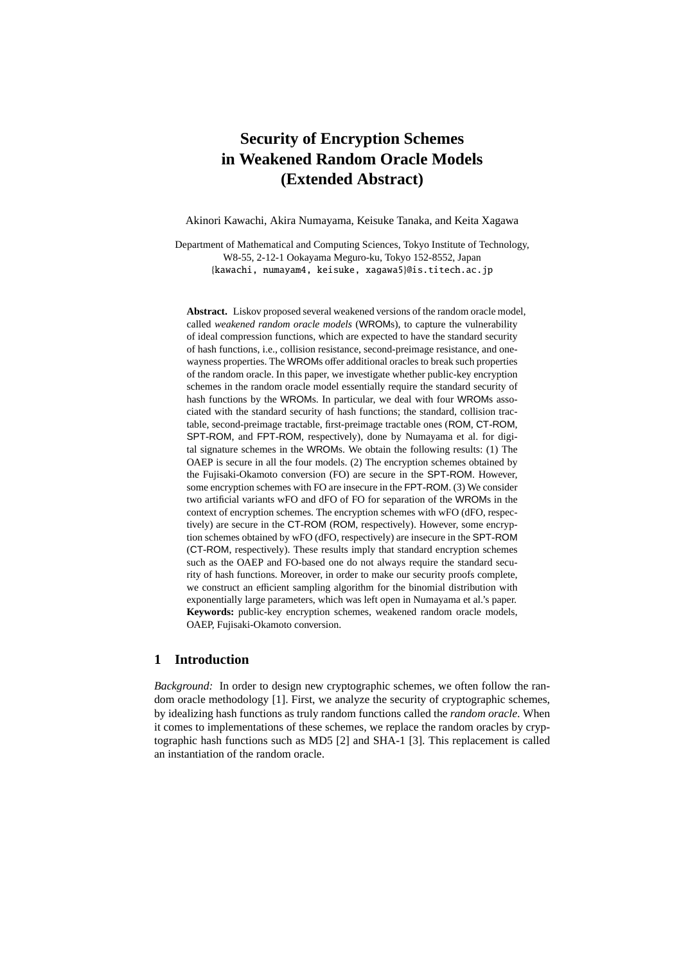# **Security of Encryption Schemes in Weakened Random Oracle Models (Extended Abstract)**

Akinori Kawachi, Akira Numayama, Keisuke Tanaka, and Keita Xagawa

Department of Mathematical and Computing Sciences, Tokyo Institute of Technology, W8-55, 2-12-1 Ookayama Meguro-ku, Tokyo 152-8552, Japan {kawachi, numayam4, keisuke, xagawa5}@is.titech.ac.jp

**Abstract.** Liskov proposed several weakened versions of the random oracle model, called *weakened random oracle models* (WROMs), to capture the vulnerability of ideal compression functions, which are expected to have the standard security of hash functions, i.e., collision resistance, second-preimage resistance, and onewayness properties. The WROMs offer additional oracles to break such properties of the random oracle. In this paper, we investigate whether public-key encryption schemes in the random oracle model essentially require the standard security of hash functions by the WROMs. In particular, we deal with four WROMs associated with the standard security of hash functions; the standard, collision tractable, second-preimage tractable, first-preimage tractable ones (ROM, CT-ROM, SPT-ROM, and FPT-ROM, respectively), done by Numayama et al. for digital signature schemes in the WROMs. We obtain the following results: (1) The OAEP is secure in all the four models. (2) The encryption schemes obtained by the Fujisaki-Okamoto conversion (FO) are secure in the SPT-ROM. However, some encryption schemes with FO are insecure in the FPT-ROM. (3) We consider two artificial variants wFO and dFO of FO for separation of the WROMs in the context of encryption schemes. The encryption schemes with wFO (dFO, respectively) are secure in the CT-ROM (ROM, respectively). However, some encryption schemes obtained by wFO (dFO, respectively) are insecure in the SPT-ROM (CT-ROM, respectively). These results imply that standard encryption schemes such as the OAEP and FO-based one do not always require the standard security of hash functions. Moreover, in order to make our security proofs complete, we construct an efficient sampling algorithm for the binomial distribution with exponentially large parameters, which was left open in Numayama et al.'s paper. **Keywords:** public-key encryption schemes, weakened random oracle models, OAEP, Fujisaki-Okamoto conversion.

# **1 Introduction**

*Background:* In order to design new cryptographic schemes, we often follow the random oracle methodology [1]. First, we analyze the security of cryptographic schemes, by idealizing hash functions as truly random functions called the *random oracle*. When it comes to implementations of these schemes, we replace the random oracles by cryptographic hash functions such as MD5 [2] and SHA-1 [3]. This replacement is called an instantiation of the random oracle.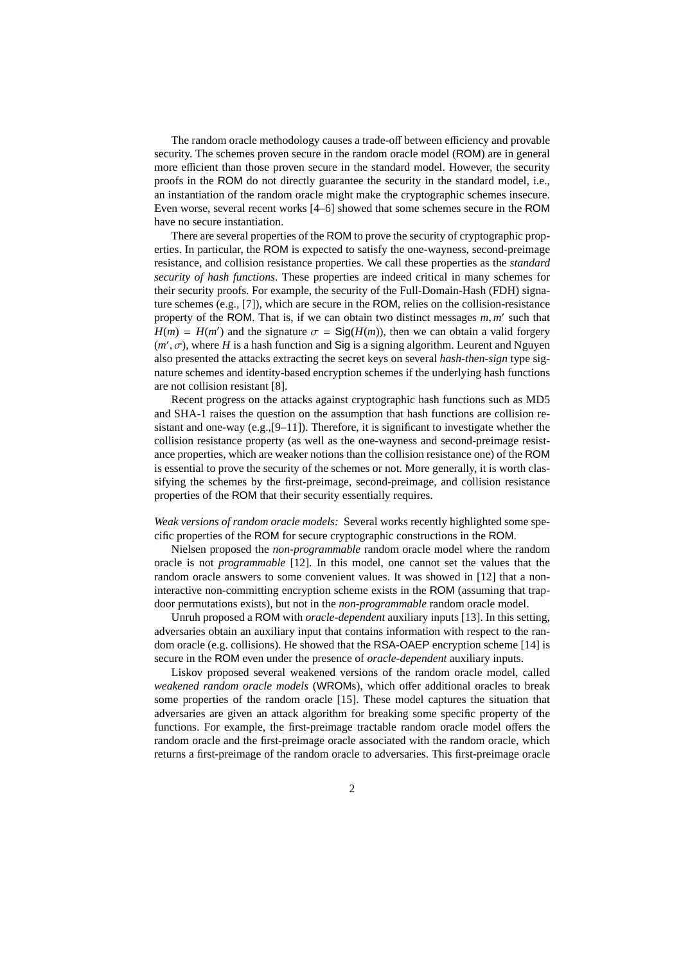The random oracle methodology causes a trade-off between efficiency and provable security. The schemes proven secure in the random oracle model (ROM) are in general more efficient than those proven secure in the standard model. However, the security proofs in the ROM do not directly guarantee the security in the standard model, i.e., an instantiation of the random oracle might make the cryptographic schemes insecure. Even worse, several recent works [4–6] showed that some schemes secure in the ROM have no secure instantiation.

There are several properties of the ROM to prove the security of cryptographic properties. In particular, the ROM is expected to satisfy the one-wayness, second-preimage resistance, and collision resistance properties. We call these properties as the *standard security of hash functions*. These properties are indeed critical in many schemes for their security proofs. For example, the security of the Full-Domain-Hash (FDH) signature schemes (e.g., [7]), which are secure in the ROM, relies on the collision-resistance property of the ROM. That is, if we can obtain two distinct messages *m*, *m* ′ such that  $H(m) = H(m')$  and the signature  $\sigma = \text{Sig}(H(m))$ , then we can obtain a valid forgery  $(m', \sigma)$ , where *H* is a hash function and Sig is a signing algorithm. Leurent and Nguyen also presented the attacks extracting the secret keys on several *hash-then-sign* type signature schemes and identity-based encryption schemes if the underlying hash functions are not collision resistant [8].

Recent progress on the attacks against cryptographic hash functions such as MD5 and SHA-1 raises the question on the assumption that hash functions are collision resistant and one-way (e.g.,[9–11]). Therefore, it is significant to investigate whether the collision resistance property (as well as the one-wayness and second-preimage resistance properties, which are weaker notions than the collision resistance one) of the ROM is essential to prove the security of the schemes or not. More generally, it is worth classifying the schemes by the first-preimage, second-preimage, and collision resistance properties of the ROM that their security essentially requires.

## *Weak versions of random oracle models:* Several works recently highlighted some specific properties of the ROM for secure cryptographic constructions in the ROM.

Nielsen proposed the *non-programmable* random oracle model where the random oracle is not *programmable* [12]. In this model, one cannot set the values that the random oracle answers to some convenient values. It was showed in [12] that a noninteractive non-committing encryption scheme exists in the ROM (assuming that trapdoor permutations exists), but not in the *non-programmable* random oracle model.

Unruh proposed a ROM with *oracle-dependent* auxiliary inputs [13]. In this setting, adversaries obtain an auxiliary input that contains information with respect to the random oracle (e.g. collisions). He showed that the RSA-OAEP encryption scheme [14] is secure in the ROM even under the presence of *oracle-dependent* auxiliary inputs.

Liskov proposed several weakened versions of the random oracle model, called *weakened random oracle models* (WROMs), which offer additional oracles to break some properties of the random oracle [15]. These model captures the situation that adversaries are given an attack algorithm for breaking some specific property of the functions. For example, the first-preimage tractable random oracle model offers the random oracle and the first-preimage oracle associated with the random oracle, which returns a first-preimage of the random oracle to adversaries. This first-preimage oracle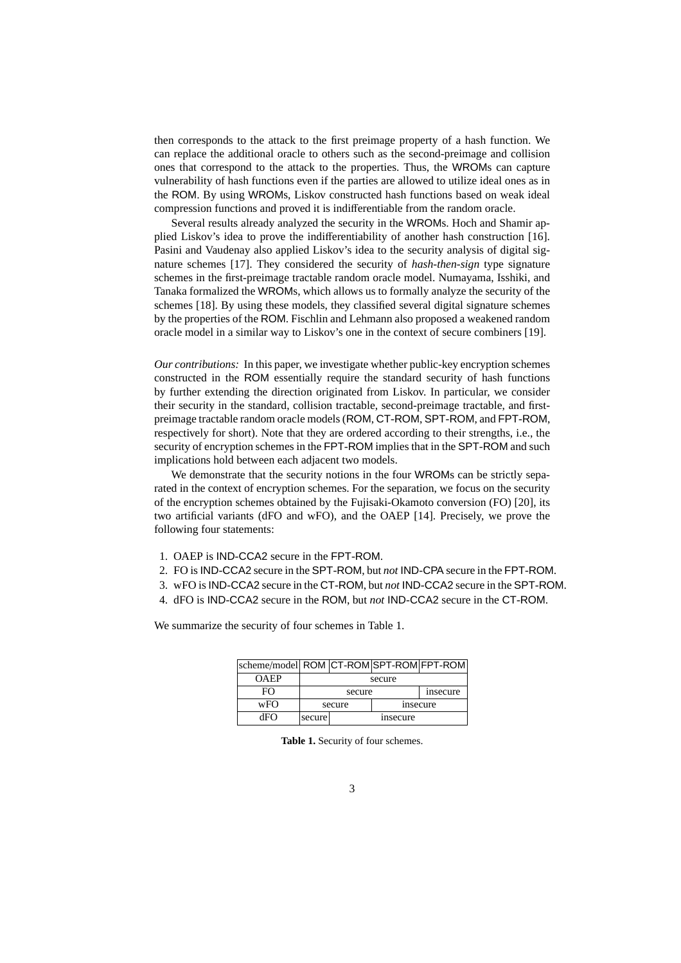then corresponds to the attack to the first preimage property of a hash function. We can replace the additional oracle to others such as the second-preimage and collision ones that correspond to the attack to the properties. Thus, the WROMs can capture vulnerability of hash functions even if the parties are allowed to utilize ideal ones as in the ROM. By using WROMs, Liskov constructed hash functions based on weak ideal compression functions and proved it is indifferentiable from the random oracle.

Several results already analyzed the security in the WROMs. Hoch and Shamir applied Liskov's idea to prove the indifferentiability of another hash construction [16]. Pasini and Vaudenay also applied Liskov's idea to the security analysis of digital signature schemes [17]. They considered the security of *hash-then-sign* type signature schemes in the first-preimage tractable random oracle model. Numayama, Isshiki, and Tanaka formalized the WROMs, which allows us to formally analyze the security of the schemes [18]. By using these models, they classified several digital signature schemes by the properties of the ROM. Fischlin and Lehmann also proposed a weakened random oracle model in a similar way to Liskov's one in the context of secure combiners [19].

*Our contributions:* In this paper, we investigate whether public-key encryption schemes constructed in the ROM essentially require the standard security of hash functions by further extending the direction originated from Liskov. In particular, we consider their security in the standard, collision tractable, second-preimage tractable, and firstpreimage tractable random oracle models (ROM, CT-ROM, SPT-ROM, and FPT-ROM, respectively for short). Note that they are ordered according to their strengths, i.e., the security of encryption schemes in the FPT-ROM implies that in the SPT-ROM and such implications hold between each adjacent two models.

We demonstrate that the security notions in the four WROMs can be strictly separated in the context of encryption schemes. For the separation, we focus on the security of the encryption schemes obtained by the Fujisaki-Okamoto conversion (FO) [20], its two artificial variants (dFO and wFO), and the OAEP [14]. Precisely, we prove the following four statements:

- 1. OAEP is IND-CCA2 secure in the FPT-ROM.
- 2. FO isIND-CCA2 secure in the SPT-ROM, but *not* IND-CPA secure in the FPT-ROM.
- 3. wFO isIND-CCA2 secure in the CT-ROM, but *not* IND-CCA2 secure in the SPT-ROM.
- 4. dFO is IND-CCA2 secure in the ROM, but *not* IND-CCA2 secure in the CT-ROM.

We summarize the security of four schemes in Table 1.

| scheme/model ROM CT-ROM SPT-ROM FPT-ROM |        |                   |                   |  |
|-----------------------------------------|--------|-------------------|-------------------|--|
| OAEP                                    | secure |                   |                   |  |
| FΟ                                      | secure |                   | <i>s</i> insecure |  |
| wFO                                     | secure |                   | <i>s</i> nsecure  |  |
| dEO                                     | secure | <i>s</i> insecure |                   |  |

**Table 1.** Security of four schemes.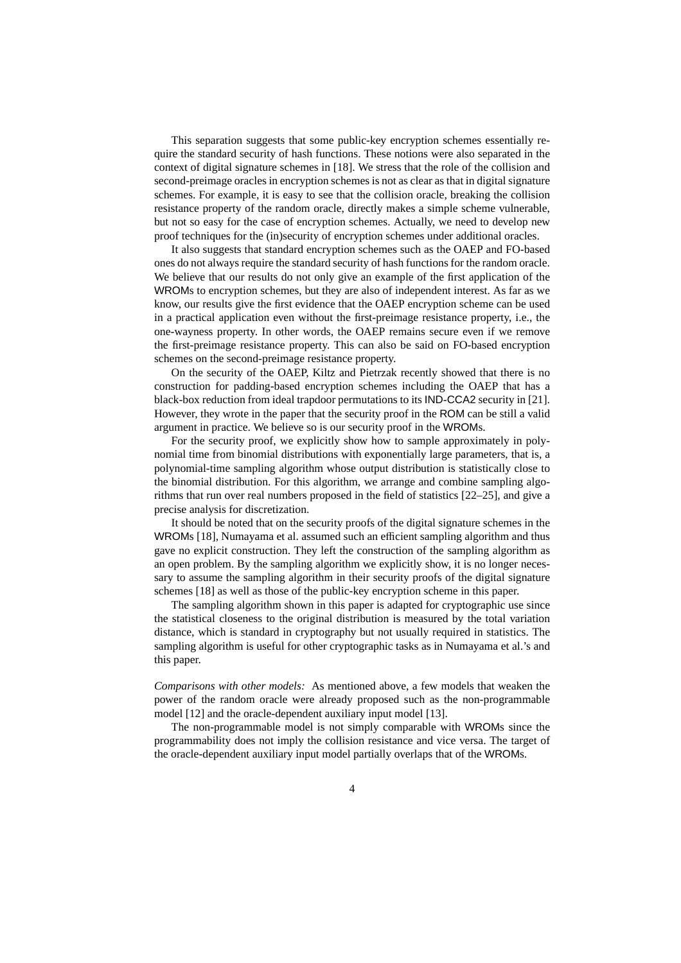This separation suggests that some public-key encryption schemes essentially require the standard security of hash functions. These notions were also separated in the context of digital signature schemes in [18]. We stress that the role of the collision and second-preimage oracles in encryption schemes is not as clear as that in digital signature schemes. For example, it is easy to see that the collision oracle, breaking the collision resistance property of the random oracle, directly makes a simple scheme vulnerable, but not so easy for the case of encryption schemes. Actually, we need to develop new proof techniques for the (in)security of encryption schemes under additional oracles.

It also suggests that standard encryption schemes such as the OAEP and FO-based ones do not always require the standard security of hash functions for the random oracle. We believe that our results do not only give an example of the first application of the WROMs to encryption schemes, but they are also of independent interest. As far as we know, our results give the first evidence that the OAEP encryption scheme can be used in a practical application even without the first-preimage resistance property, i.e., the one-wayness property. In other words, the OAEP remains secure even if we remove the first-preimage resistance property. This can also be said on FO-based encryption schemes on the second-preimage resistance property.

On the security of the OAEP, Kiltz and Pietrzak recently showed that there is no construction for padding-based encryption schemes including the OAEP that has a black-box reduction from ideal trapdoor permutations to its IND-CCA2 security in [21]. However, they wrote in the paper that the security proof in the ROM can be still a valid argument in practice. We believe so is our security proof in the WROMs.

For the security proof, we explicitly show how to sample approximately in polynomial time from binomial distributions with exponentially large parameters, that is, a polynomial-time sampling algorithm whose output distribution is statistically close to the binomial distribution. For this algorithm, we arrange and combine sampling algorithms that run over real numbers proposed in the field of statistics [22–25], and give a precise analysis for discretization.

It should be noted that on the security proofs of the digital signature schemes in the WROMs [18], Numayama et al. assumed such an efficient sampling algorithm and thus gave no explicit construction. They left the construction of the sampling algorithm as an open problem. By the sampling algorithm we explicitly show, it is no longer necessary to assume the sampling algorithm in their security proofs of the digital signature schemes [18] as well as those of the public-key encryption scheme in this paper.

The sampling algorithm shown in this paper is adapted for cryptographic use since the statistical closeness to the original distribution is measured by the total variation distance, which is standard in cryptography but not usually required in statistics. The sampling algorithm is useful for other cryptographic tasks as in Numayama et al.'s and this paper.

*Comparisons with other models:* As mentioned above, a few models that weaken the power of the random oracle were already proposed such as the non-programmable model [12] and the oracle-dependent auxiliary input model [13].

The non-programmable model is not simply comparable with WROMs since the programmability does not imply the collision resistance and vice versa. The target of the oracle-dependent auxiliary input model partially overlaps that of the WROMs.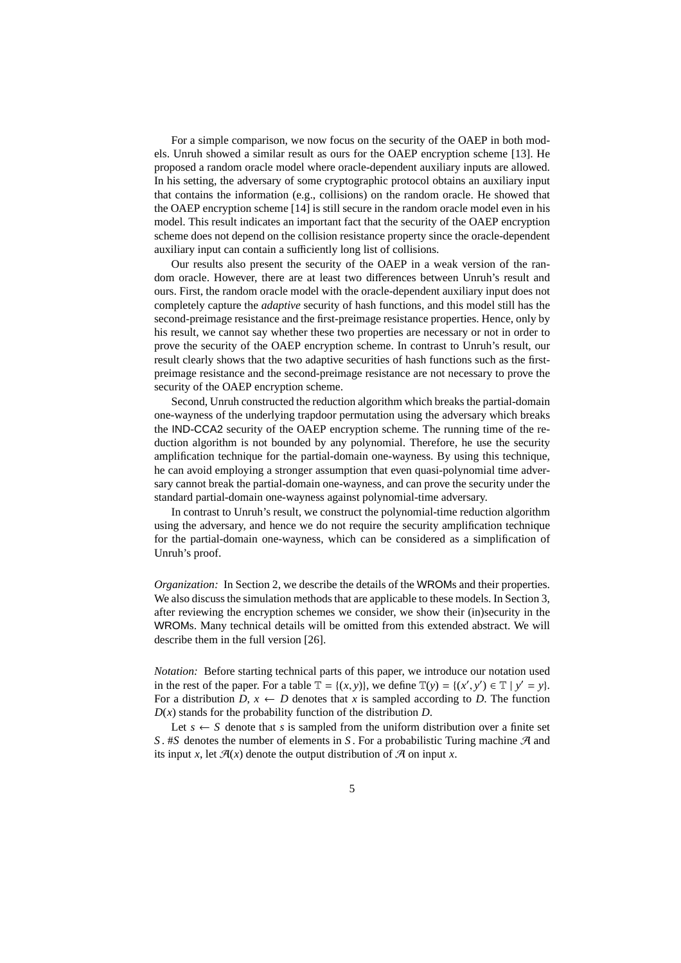For a simple comparison, we now focus on the security of the OAEP in both models. Unruh showed a similar result as ours for the OAEP encryption scheme [13]. He proposed a random oracle model where oracle-dependent auxiliary inputs are allowed. In his setting, the adversary of some cryptographic protocol obtains an auxiliary input that contains the information (e.g., collisions) on the random oracle. He showed that the OAEP encryption scheme [14] is still secure in the random oracle model even in his model. This result indicates an important fact that the security of the OAEP encryption scheme does not depend on the collision resistance property since the oracle-dependent auxiliary input can contain a sufficiently long list of collisions.

Our results also present the security of the OAEP in a weak version of the random oracle. However, there are at least two differences between Unruh's result and ours. First, the random oracle model with the oracle-dependent auxiliary input does not completely capture the *adaptive* security of hash functions, and this model still has the second-preimage resistance and the first-preimage resistance properties. Hence, only by his result, we cannot say whether these two properties are necessary or not in order to prove the security of the OAEP encryption scheme. In contrast to Unruh's result, our result clearly shows that the two adaptive securities of hash functions such as the firstpreimage resistance and the second-preimage resistance are not necessary to prove the security of the OAEP encryption scheme.

Second, Unruh constructed the reduction algorithm which breaks the partial-domain one-wayness of the underlying trapdoor permutation using the adversary which breaks the IND-CCA2 security of the OAEP encryption scheme. The running time of the reduction algorithm is not bounded by any polynomial. Therefore, he use the security amplification technique for the partial-domain one-wayness. By using this technique, he can avoid employing a stronger assumption that even quasi-polynomial time adversary cannot break the partial-domain one-wayness, and can prove the security under the standard partial-domain one-wayness against polynomial-time adversary.

In contrast to Unruh's result, we construct the polynomial-time reduction algorithm using the adversary, and hence we do not require the security amplification technique for the partial-domain one-wayness, which can be considered as a simplification of Unruh's proof.

*Organization:* In Section 2, we describe the details of the WROMs and their properties. We also discuss the simulation methods that are applicable to these models. In Section 3, after reviewing the encryption schemes we consider, we show their (in)security in the WROMs. Many technical details will be omitted from this extended abstract. We will describe them in the full version [26].

*Notation:* Before starting technical parts of this paper, we introduce our notation used in the rest of the paper. For a table  $\mathbb{T} = \{(x, y)\}\)$ , we define  $\mathbb{T}(y) = \{(x', y') \in \mathbb{T} \mid y' = y\}$ . For a distribution  $D, x \leftarrow D$  denotes that *x* is sampled according to *D*. The function  $D(x)$  stands for the probability function of the distribution *D*.

Let  $s \leftarrow S$  denote that *s* is sampled from the uniform distribution over a finite set *S*. #*S* denotes the number of elements in *S*. For a probabilistic Turing machine  $\mathcal{A}$  and its input *x*, let  $\mathcal{A}(x)$  denote the output distribution of  $\mathcal{A}$  on input *x*.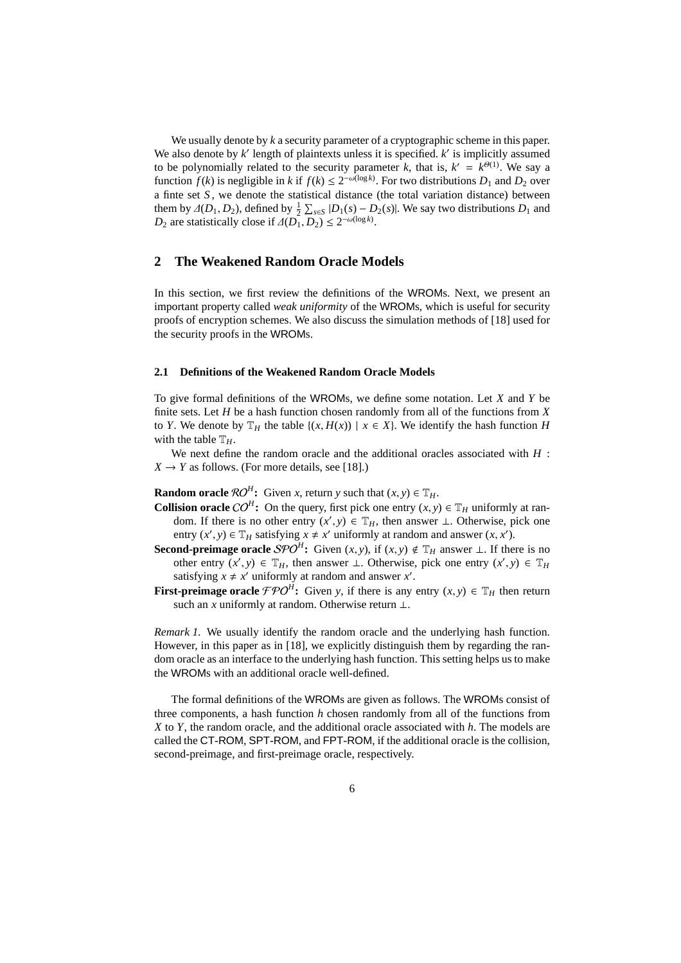We usually denote by *k* a security parameter of a cryptographic scheme in this paper. We also denote by  $k'$  length of plaintexts unless it is specified.  $k'$  is implicitly assumed to be polynomially related to the security parameter *k*, that is,  $k' = k^{\Theta(1)}$ . We say a function  $f(k)$  is negligible in  $k$  if  $f(k) \leq 2^{-\omega(\log k)}$ . For two distributions  $D_1$  and  $D_2$  over a finte set *S* , we denote the statistical distance (the total variation distance) between them by  $\Delta(D_1, D_2)$ , defined by  $\frac{1}{2} \sum_{s \in S} |D_1(s) - D_2(s)|$ . We say two distributions  $D_1$  and *D*<sub>2</sub> are statistically close if  $\Delta(D_1, D_2)$  ≤ 2<sup>-ω(log *k*)</sup>.

# **2 The Weakened Random Oracle Models**

In this section, we first review the definitions of the WROMs. Next, we present an important property called *weak uniformity* of the WROMs, which is useful for security proofs of encryption schemes. We also discuss the simulation methods of [18] used for the security proofs in the WROMs.

### **2.1 Definitions of the Weakened Random Oracle Models**

To give formal definitions of the WROMs, we define some notation. Let *X* and *Y* be finite sets. Let *H* be a hash function chosen randomly from all of the functions from *X* to *Y*. We denote by  $\mathbb{T}_H$  the table  $\{(x, H(x)) \mid x \in X\}$ . We identify the hash function *H* with the table  $\mathbb{T}_H$ .

We next define the random oracle and the additional oracles associated with *H* :  $X \rightarrow Y$  as follows. (For more details, see [18].)

**Random oracle**  $RO^H$ : Given *x*, return *y* such that  $(x, y) \in \mathbb{T}_H$ .

- **Collision oracle**  $CO^H$ : On the query, first pick one entry  $(x, y) \in \mathbb{T}_H$  uniformly at random. If there is no other entry  $(x', y) \in \mathbb{T}_H$ , then answer ⊥. Otherwise, pick one entry  $(x', y) \in \mathbb{T}_H$  satisfying  $x \neq x'$  uniformly at random and answer  $(x, x')$ .
- **Second-preimage oracle**  $SPO<sup>H</sup>$ : Given  $(x, y)$ , if  $(x, y) \notin T_H$  answer  $\perp$ . If there is no other entry  $(x', y) \in \mathbb{T}_H$ , then answer ⊥. Otherwise, pick one entry  $(x', y) \in \mathbb{T}_H$ satisfying  $x \neq x'$  uniformly at random and answer  $x'$ .
- **First-preimage oracle**  $\mathcal{FPO}^H$ : Given *y*, if there is any entry  $(x, y) \in \mathbb{T}_H$  then return such an *x* uniformly at random. Otherwise return ⊥.

*Remark 1.* We usually identify the random oracle and the underlying hash function. However, in this paper as in [18], we explicitly distinguish them by regarding the random oracle as an interface to the underlying hash function. This setting helps us to make the WROMs with an additional oracle well-defined.

The formal definitions of the WROMs are given as follows. The WROMs consist of three components, a hash function *h* chosen randomly from all of the functions from *X* to *Y*, the random oracle, and the additional oracle associated with *h*. The models are called the CT-ROM, SPT-ROM, and FPT-ROM, if the additional oracle is the collision, second-preimage, and first-preimage oracle, respectively.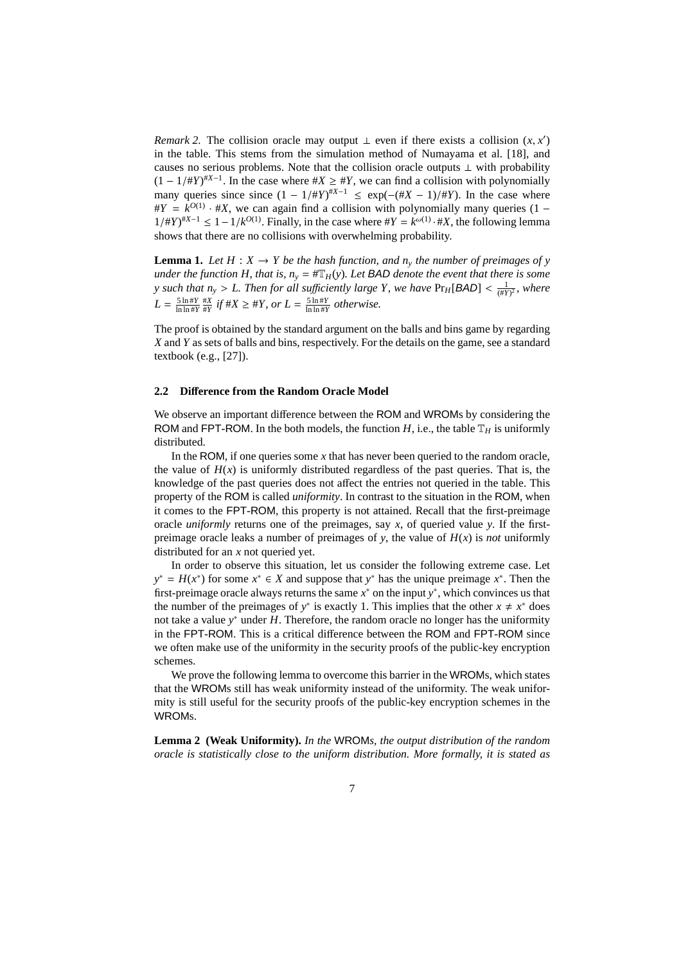*Remark 2.* The collision oracle may output  $\perp$  even if there exists a collision  $(x, x')$ in the table. This stems from the simulation method of Numayama et al. [18], and causes no serious problems. Note that the collision oracle outputs ⊥ with probability  $(1 - 1/4Y)^{4(X-1)}$ . In the case where  $4X \geq 4Y$ , we can find a collision with polynomially many queries since since  $(1 - 1/4Y)^{#X-1}$  ≤ exp( $-(#X - 1)/#Y$ ). In the case where  $\#Y = k^{O(1)} \cdot \#X$ , we can again find a collision with polynomially many queries (1 –  $1/4Y$ <sup>#X-1</sup>  $\leq 1-1/k^{O(1)}$ . Finally, in the case where  $*Y = k^{\omega(1)} \cdot #X$ , the following lemma shows that there are no collisions with overwhelming probability.

**Lemma 1.** Let  $H : X \to Y$  be the hash function, and  $n<sub>y</sub>$  the number of preimages of y *under the function H, that is,*  $n_y = #T_H(y)$ *. Let BAD denote the event that there is some y* such that  $n_y > L$ . Then for all sufficiently large Y, we have  $Pr_H[BAD] < \frac{1}{(\#Y)^2}$ , where  $L = \frac{5 \ln \#Y}{\ln \ln \#Y} \frac{\#X}{\#Y}$  if  $\#X \geq \#Y$ , or  $L = \frac{5 \ln \#Y}{\ln \ln \#Y}$  otherwise.

The proof is obtained by the standard argument on the balls and bins game by regarding *X* and *Y* as sets of balls and bins, respectively. For the details on the game, see a standard textbook (e.g., [27]).

### **2.2 Di**ff**erence from the Random Oracle Model**

We observe an important difference between the ROM and WROMs by considering the ROM and FPT-ROM. In the both models, the function  $H$ , i.e., the table  $\mathbb{T}_H$  is uniformly distributed.

In the ROM, if one queries some  $x$  that has never been queried to the random oracle, the value of  $H(x)$  is uniformly distributed regardless of the past queries. That is, the knowledge of the past queries does not affect the entries not queried in the table. This property of the ROM is called *uniformity*. In contrast to the situation in the ROM, when it comes to the FPT-ROM, this property is not attained. Recall that the first-preimage oracle *uniformly* returns one of the preimages, say *x*, of queried value *y*. If the firstpreimage oracle leaks a number of preimages of *y*, the value of  $H(x)$  is *not* uniformly distributed for an *x* not queried yet.

In order to observe this situation, let us consider the following extreme case. Let  $y^* = H(x^*)$  for some  $x^* \in X$  and suppose that  $y^*$  has the unique preimage  $x^*$ . Then the first-preimage oracle always returns the same *x*<sup>\*</sup> on the input *y*<sup>\*</sup>, which convinces us that the number of the preimages of *y*<sup>\*</sup> is exactly 1. This implies that the other  $x \neq x^*$  does not take a value *y*<sup>∗</sup> under *H*. Therefore, the random oracle no longer has the uniformity in the FPT-ROM. This is a critical difference between the ROM and FPT-ROM since we often make use of the uniformity in the security proofs of the public-key encryption schemes.

We prove the following lemma to overcome this barrier in the WROMs, which states that the WROMs still has weak uniformity instead of the uniformity. The weak uniformity is still useful for the security proofs of the public-key encryption schemes in the WROMs.

**Lemma 2 (Weak Uniformity).** *In the* WROM*s, the output distribution of the random oracle is statistically close to the uniform distribution. More formally, it is stated as*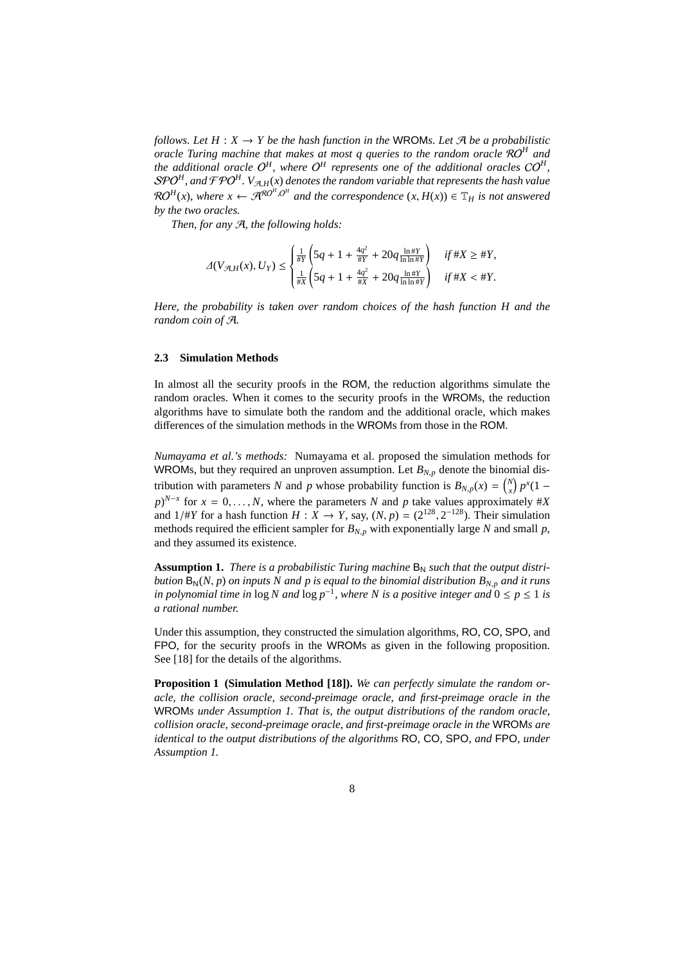*follows. Let*  $H : X \to Y$  *be the hash function in the* WROM*s. Let*  $\mathcal{A}$  *be a probabilistic oracle Turing machine that makes at most q queries to the random oracle* RO*<sup>H</sup> and* the additional oracle  $O^H$ , where  $O^H$  represents one of the additional oracles  $CO^H$ ,  $\mathcal{SPO}^{H}$ , and  $\mathcal{FPO}^{H}$ .  $V_{\mathcal{A},H}(x)$  denotes the random variable that represents the hash value  $RO<sup>H</sup>(x)$ , where  $x \leftarrow \mathcal{A}^{RO<sup>H</sup>, O<sup>H</sup>}$  and the correspondence  $(x, H(x)) \in \mathbb{T}_H$  is not answered *by the two oracles.*

*Then, for any* A*, the following holds:*

$$
\varDelta(V_{\mathcal{A},H}(x),U_Y) \leq \begin{cases} \frac{1}{\#Y} \left( 5q + 1 + \frac{4q^2}{\#Y} + 20q \frac{\ln \#Y}{\ln \ln \#Y} \right) & \text{if } \#X \geq \#Y, \\ \frac{1}{\#X} \left( 5q + 1 + \frac{4q^2}{\#X} + 20q \frac{\ln \#Y}{\ln \ln \#Y} \right) & \text{if } \#X < \#Y. \end{cases}
$$

*Here, the probability is taken over random choices of the hash function H and the random coin of* A*.*

### **2.3 Simulation Methods**

In almost all the security proofs in the ROM, the reduction algorithms simulate the random oracles. When it comes to the security proofs in the WROMs, the reduction algorithms have to simulate both the random and the additional oracle, which makes differences of the simulation methods in the WROMs from those in the ROM.

*Numayama et al.'s methods:* Numayama et al. proposed the simulation methods for WROMs, but they required an unproven assumption. Let  $B_{N,p}$  denote the binomial distribution with parameters *N* and *p* whose probability function is  $B_{N,p}(x) = {N \choose x} p^x (1$  $p$ <sup>*N*−*x*</sup> for *x* = 0, ..., *N*, where the parameters *N* and *p* take values approximately #*X* and  $1/\#Y$  for a hash function  $H: X \to Y$ , say,  $(N, p) = (2^{128}, 2^{-128})$ . Their simulation methods required the efficient sampler for  $B_{N,p}$  with exponentially large N and small  $p$ , and they assumed its existence.

Assumption 1. *There is a probabilistic Turing machine*  $B_N$  *such that the output distribution*  $B_N(N, p)$  *on inputs* N *and* p is equal to the binomial distribution  $B_{N, p}$  *and it runs in polynomial time in*  $\log N$  *and*  $\log p^{-1}$ *, where N is a positive integer and*  $0 \le p \le 1$  *is a rational number.*

Under this assumption, they constructed the simulation algorithms, RO, CO, SPO, and FPO, for the security proofs in the WROMs as given in the following proposition. See [18] for the details of the algorithms.

**Proposition 1 (Simulation Method [18]).** *We can perfectly simulate the random oracle, the collision oracle, second-preimage oracle, and first-preimage oracle in the* WROM*s under Assumption 1. That is, the output distributions of the random oracle, collision oracle, second-preimage oracle, and first-preimage oracle in the* WROM*s are identical to the output distributions of the algorithms* RO*,* CO*,* SPO*, and* FPO*, under Assumption 1.*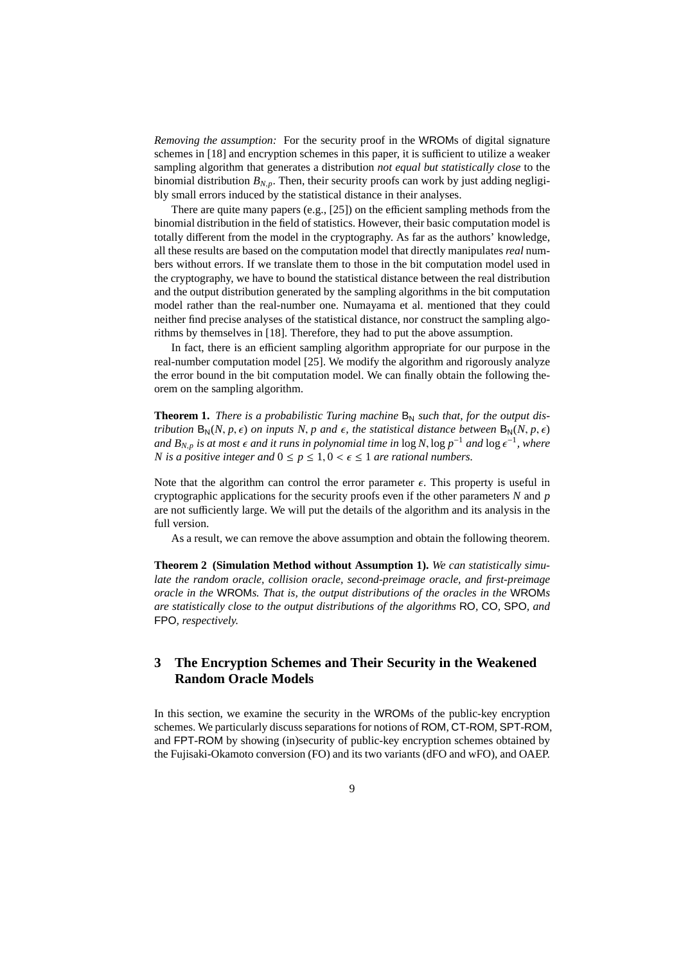*Removing the assumption:* For the security proof in the WROMs of digital signature schemes in [18] and encryption schemes in this paper, it is sufficient to utilize a weaker sampling algorithm that generates a distribution *not equal but statistically close* to the binomial distribution  $B_{N,p}$ . Then, their security proofs can work by just adding negligibly small errors induced by the statistical distance in their analyses.

There are quite many papers (e.g., [25]) on the efficient sampling methods from the binomial distribution in the field of statistics. However, their basic computation model is totally different from the model in the cryptography. As far as the authors' knowledge, all these results are based on the computation model that directly manipulates *real* numbers without errors. If we translate them to those in the bit computation model used in the cryptography, we have to bound the statistical distance between the real distribution and the output distribution generated by the sampling algorithms in the bit computation model rather than the real-number one. Numayama et al. mentioned that they could neither find precise analyses of the statistical distance, nor construct the sampling algorithms by themselves in [18]. Therefore, they had to put the above assumption.

In fact, there is an efficient sampling algorithm appropriate for our purpose in the real-number computation model [25]. We modify the algorithm and rigorously analyze the error bound in the bit computation model. We can finally obtain the following theorem on the sampling algorithm.

**Theorem 1.** *There is a probabilistic Turing machine*  $B_N$  *such that, for the output distribution*  $B_N(N, p, \epsilon)$  *on inputs N, p and*  $\epsilon$ *, the statistical distance between*  $B_N(N, p, \epsilon)$ *and*  $B_{N,p}$  *is at most*  $\epsilon$  *and it runs in polynomial time in*  $\log N$ *,*  $\log p^{-1}$  *and*  $\log \epsilon^{-1}$ *, where N* is a positive integer and  $0 \le p \le 1$ ,  $0 < \epsilon \le 1$  are rational numbers.

Note that the algorithm can control the error parameter  $\epsilon$ . This property is useful in cryptographic applications for the security proofs even if the other parameters *N* and *p* are not sufficiently large. We will put the details of the algorithm and its analysis in the full version.

As a result, we can remove the above assumption and obtain the following theorem.

**Theorem 2 (Simulation Method without Assumption 1).** *We can statistically simulate the random oracle, collision oracle, second-preimage oracle, and first-preimage oracle in the* WROM*s. That is, the output distributions of the oracles in the* WROM*s are statistically close to the output distributions of the algorithms* RO*,* CO*,* SPO*, and* FPO*, respectively.*

# **3 The Encryption Schemes and Their Security in the Weakened Random Oracle Models**

In this section, we examine the security in the WROMs of the public-key encryption schemes. We particularly discuss separations for notions of ROM, CT-ROM, SPT-ROM, and FPT-ROM by showing (in)security of public-key encryption schemes obtained by the Fujisaki-Okamoto conversion (FO) and its two variants (dFO and wFO), and OAEP.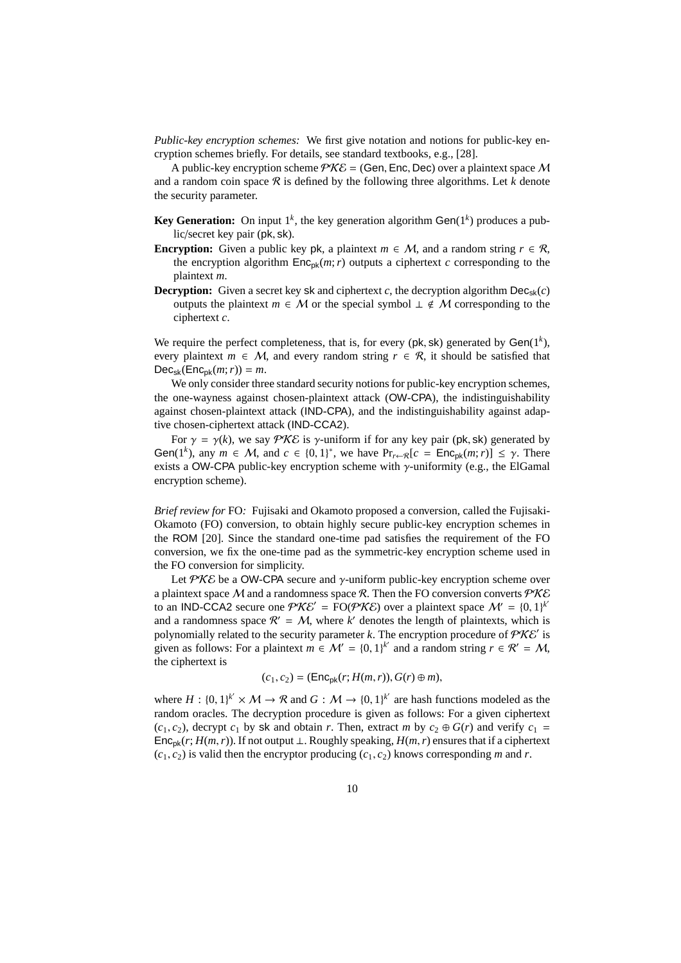*Public-key encryption schemes:* We first give notation and notions for public-key encryption schemes briefly. For details, see standard textbooks, e.g., [28].

A public-key encryption scheme  $PKE = (Gen, Enc, Dec)$  over a plaintext space M and a random coin space  $\mathcal R$  is defined by the following three algorithms. Let  $k$  denote the security parameter.

- **Key Generation:** On input  $1^k$ , the key generation algorithm Gen( $1^k$ ) produces a public/secret key pair (pk, sk).
- **Encryption:** Given a public key pk, a plaintext  $m \in M$ , and a random string  $r \in \mathcal{R}$ , the encryption algorithm  $Enc_{ok}(m;r)$  outputs a ciphertext *c* corresponding to the plaintext *m*.
- **Decryption:** Given a secret key sk and ciphertext *c*, the decryption algorithm  $\text{Dec}_{sk}(c)$ outputs the plaintext  $m \in M$  or the special symbol  $\bot \notin M$  corresponding to the ciphertext *c*.

We require the perfect completeness, that is, for every ( $pk, sk$ ) generated by  $Gen(1<sup>k</sup>)$ , every plaintext  $m \in M$ , and every random string  $r \in \mathcal{R}$ , it should be satisfied that  $Dec_{sk}(Enc_{nk}(m;r)) = m.$ 

We only consider three standard security notions for public-key encryption schemes, the one-wayness against chosen-plaintext attack (OW-CPA), the indistinguishability against chosen-plaintext attack (IND-CPA), and the indistinguishability against adaptive chosen-ciphertext attack (IND-CCA2).

For  $\gamma = \gamma(k)$ , we say PKE is  $\gamma$ -uniform if for any key pair (pk, sk) generated by Gen( $1^k$ ), any  $m \in \mathcal{M}$ , and  $c \in \{0, 1\}^*$ , we have  $Pr_{r \leftarrow \mathcal{R}}[c = Enc_{pk}(m; r)] \leq \gamma$ . There exists a OW-CPA public-key encryption scheme with  $\gamma$ -uniformity (e.g., the ElGamal encryption scheme).

*Brief review for* FO*:* Fujisaki and Okamoto proposed a conversion, called the Fujisaki-Okamoto (FO) conversion, to obtain highly secure public-key encryption schemes in the ROM [20]. Since the standard one-time pad satisfies the requirement of the FO conversion, we fix the one-time pad as the symmetric-key encryption scheme used in the FO conversion for simplicity.

Let  $PKE$  be a OW-CPA secure and  $\gamma$ -uniform public-key encryption scheme over a plaintext space M and a randomness space R. Then the FO conversion converts  $PKE$ to an IND-CCA2 secure one  $PKE' = FO(PKE)$  over a plaintext space  $M' = \{0, 1\}^{k'}$ and a randomness space  $\mathcal{R}' = \mathcal{M}$ , where  $k'$  denotes the length of plaintexts, which is polynomially related to the security parameter  $k$ . The encryption procedure of  $\mathcal{PKE}'$  is given as follows: For a plaintext  $m \in \mathcal{M}' = \{0, 1\}^k$  and a random string  $r \in \mathcal{R}' = \mathcal{M}$ , the ciphertext is

$$
(c_1, c_2) = (\mathsf{Enc}_{\mathsf{pk}}(r; H(m, r)), G(r) \oplus m),
$$

where  $H: \{0,1\}^{k'} \times \mathcal{M} \to \mathcal{R}$  and  $G: \mathcal{M} \to \{0,1\}^{k'}$  are hash functions modeled as the random oracles. The decryption procedure is given as follows: For a given ciphertext  $(c_1, c_2)$ , decrypt  $c_1$  by sk and obtain *r*. Then, extract *m* by  $c_2 \oplus G(r)$  and verify  $c_1 =$  $Enc_{pk}(r; H(m, r))$ . If not output ⊥. Roughly speaking,  $H(m, r)$  ensures that if a ciphertext  $(c_1, c_2)$  is valid then the encryptor producing  $(c_1, c_2)$  knows corresponding *m* and *r*.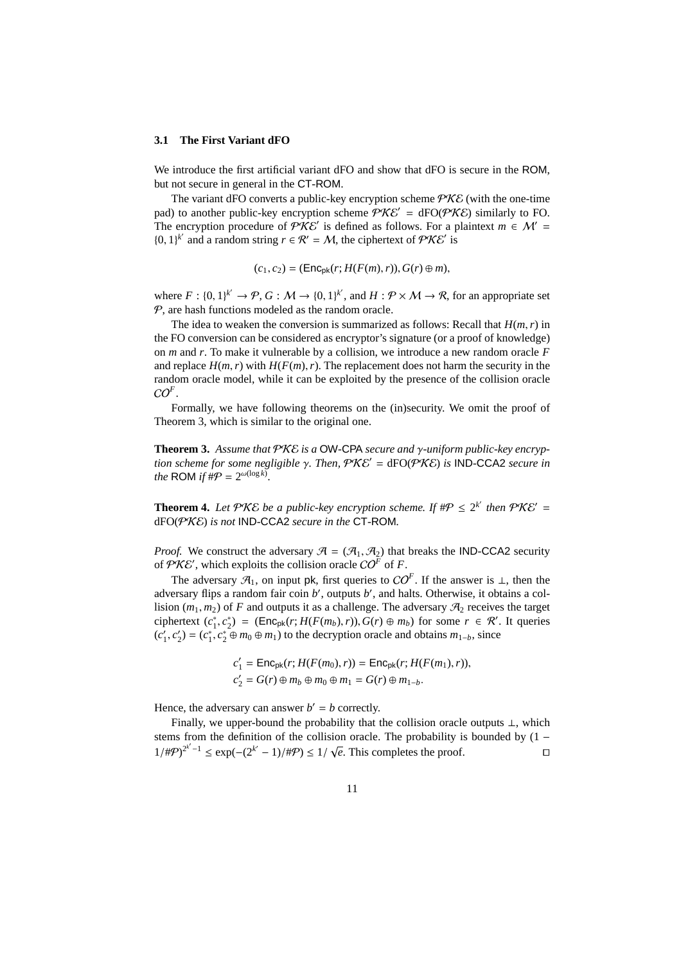#### **3.1 The First Variant dFO**

We introduce the first artificial variant dFO and show that dFO is secure in the ROM, but not secure in general in the CT-ROM.

The variant dFO converts a public-key encryption scheme  $PKE$  (with the one-time pad) to another public-key encryption scheme  $PKE' = dFO(PKE)$  similarly to FO. The encryption procedure of  $PKE'$  is defined as follows. For a plaintext  $m \in M'$  ${0, 1}^{k'}$  and a random string  $r \in \mathcal{R}' = \mathcal{M}$ , the ciphertext of  $\mathcal{PKE}'$  is

$$
(c_1, c_2) = (\mathsf{Enc}_{\mathsf{pk}}(r; H(F(m), r)), G(r) \oplus m),
$$

where  $F : \{0,1\}^k \to \mathcal{P}, G : \mathcal{M} \to \{0,1\}^k$ , and  $H : \mathcal{P} \times \mathcal{M} \to \mathcal{R}$ , for an appropriate set  $P$ , are hash functions modeled as the random oracle.

The idea to weaken the conversion is summarized as follows: Recall that *H*(*m*,*r*) in the FO conversion can be considered as encryptor's signature (or a proof of knowledge) on *m* and *r*. To make it vulnerable by a collision, we introduce a new random oracle *F* and replace  $H(m, r)$  with  $H(F(m), r)$ . The replacement does not harm the security in the random oracle model, while it can be exploited by the presence of the collision oracle  $CO^F$  .

Formally, we have following theorems on the (in)security. We omit the proof of Theorem 3, which is similar to the original one.

**Theorem 3.** *Assume that* PKE *is a* OW-CPA *secure and* γ*-uniform public-key encryption scheme for some negligible* γ*. Then,* PKE′ = dFO(PKE) *is* IND-CCA2 *secure in the* ROM *if*  $\sharp \mathcal{P} = 2^{\omega(\log k)}$ *.* 

**Theorem 4.** Let  $PKE$  be a public-key encryption scheme. If  $\sharp P \leq 2^{k'}$  then  $PKE' =$ dFO(PKE) *is not* IND-CCA2 *secure in the* CT-ROM*.*

*Proof.* We construct the adversary  $A = (A_1, A_2)$  that breaks the IND-CCA2 security of  $\mathcal{PKE}'$ , which exploits the collision oracle  $CO^F$  of *F*.

The adversary  $\mathcal{A}_1$ , on input pk, first queries to  $CO^F$ . If the answer is  $\perp$ , then the adversary flips a random fair coin *b'*, outputs *b'*, and halts. Otherwise, it obtains a collision  $(m_1, m_2)$  of *F* and outputs it as a challenge. The adversary  $\mathcal{A}_2$  receives the target ciphertext  $(c_1^*, c_2^*)$  = (Enc<sub>pk</sub>(*r*;  $H(F(m_b), r)$ ),  $G(r) \oplus m_b$ ) for some  $r \in \mathcal{R}'$ . It queries  $(c'_1, c'_2) = (c_1^*, c_2^* \oplus m_0 \oplus m_1)$  to the decryption oracle and obtains  $m_{1-b}$ , since

$$
c'_1 = \text{Enc}_{\text{pk}}(r; H(F(m_0), r)) = \text{Enc}_{\text{pk}}(r; H(F(m_1), r)),
$$
  

$$
c'_2 = G(r) \oplus m_b \oplus m_0 \oplus m_1 = G(r) \oplus m_{1-b}.
$$

Hence, the adversary can answer  $b' = b$  correctly.

Finally, we upper-bound the probability that the collision oracle outputs ⊥, which stems from the definition of the collision oracle. The probability is bounded by  $(1 1/$ # $P$ )<sup>2k'</sup> −1 ≤ exp( $-(2^{k'} - 1)/$ # $P$ ) ≤  $1/\sqrt{e}$ . This completes the proof. □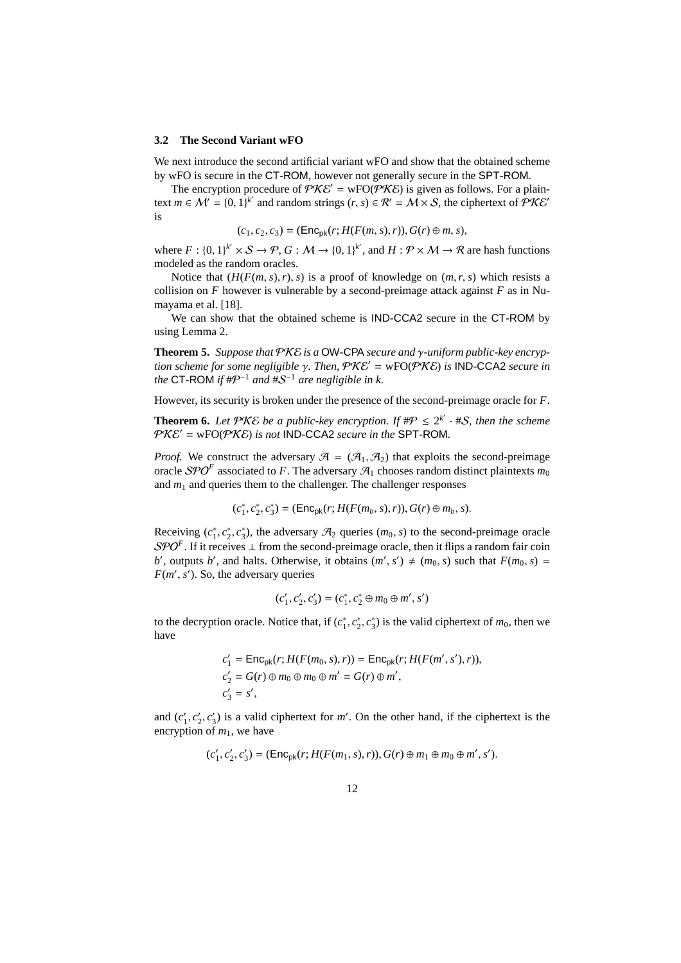#### **3.2 The Second Variant wFO**

We next introduce the second artificial variant wFO and show that the obtained scheme by wFO is secure in the CT-ROM, however not generally secure in the SPT-ROM.

The encryption procedure of  $PKE' = wFO(PKE)$  is given as follows. For a plaintext  $m \in \mathcal{M}' = \{0, 1\}^{k'}$  and random strings  $(r, s) \in \mathcal{R}' = \mathcal{M} \times \mathcal{S}$ , the ciphertext of  $\mathcal{P} \mathcal{K} \mathcal{E}'$ is

$$
(c_1, c_2, c_3) = (\mathsf{Enc}_{\mathsf{pk}}(r; H(F(m, s), r)), G(r) \oplus m, s),
$$

where  $F: \{0,1\}^k \times S \to P$ ,  $G: \mathcal{M} \to \{0,1\}^k$ , and  $H: \mathcal{P} \times \mathcal{M} \to \mathcal{R}$  are hash functions modeled as the random oracles.

Notice that  $(H(F(m, s), r), s)$  is a proof of knowledge on  $(m, r, s)$  which resists a collision on *F* however is vulnerable by a second-preimage attack against *F* as in Numayama et al. [18].

We can show that the obtained scheme is IND-CCA2 secure in the CT-ROM by using Lemma 2.

**Theorem 5.** *Suppose that* PKE *is a* OW-CPA *secure and* γ*-uniform public-key encryption scheme for some negligible* γ*. Then,* PKE′ = wFO(PKE) *is* IND-CCA2 *secure in* the CT-ROM if  $\sharp \mathcal{P}^{-1}$  and  $\sharp \mathcal{S}^{-1}$  are negligible in k.

However, its security is broken under the presence of the second-preimage oracle for *F*.

**Theorem 6.** Let  $PKE$  be a public-key encryption. If  $\sharp P \leq 2^{k'} \cdot \sharp S$ , then the scheme PKE′ = wFO(PKE) *is not* IND-CCA2 *secure in the* SPT-ROM*.*

*Proof.* We construct the adversary  $\mathcal{A} = (\mathcal{A}_1, \mathcal{A}_2)$  that exploits the second-preimage oracle  $SPO<sup>F</sup>$  associated to *F*. The adversary  $\mathcal{A}_1$  chooses random distinct plaintexts  $m_0$ and  $m_1$  and queries them to the challenger. The challenger responses

$$
(c_1^*, c_2^*, c_3^*) = (\mathsf{Enc}_{\mathsf{pk}}(r; H(F(m_b, s), r)), G(r) \oplus m_b, s).
$$

Receiving  $(c_1^*, c_2^*, c_3^*)$ , the adversary  $\mathcal{A}_2$  queries  $(m_0, s)$  to the second-preimage oracle  $SPO<sup>F</sup>$ . If it receives  $\perp$  from the second-preimage oracle, then it flips a random fair coin *b*<sup>'</sup>, outputs *b*<sup>'</sup>, and halts. Otherwise, it obtains  $(m', s') \neq (m_0, s)$  such that  $F(m_0, s)$  $F(m', s')$ . So, the adversary queries

$$
(c'_1, c'_2, c'_3) = (c_1^*, c_2^* \oplus m_0 \oplus m', s')
$$

to the decryption oracle. Notice that, if  $(c_1^*, c_2^*, c_3^*)$  is the valid ciphertext of  $m_0$ , then we have

$$
c'_1 = \text{Enc}_{\text{pk}}(r; H(F(m_0, s), r)) = \text{Enc}_{\text{pk}}(r; H(F(m', s'), r)),
$$
  
\n
$$
c'_2 = G(r) \oplus m_0 \oplus m_0 \oplus m' = G(r) \oplus m',
$$
  
\n
$$
c'_3 = s',
$$

and  $(c'_1, c'_2, c'_3)$  is a valid ciphertext for *m'*. On the other hand, if the ciphertext is the encryption of *m*1, we have

$$
(c'_1, c'_2, c'_3) = (\mathsf{Enc}_{\mathsf{pk}}(r; H(F(m_1, s), r)), G(r) \oplus m_1 \oplus m_0 \oplus m', s').
$$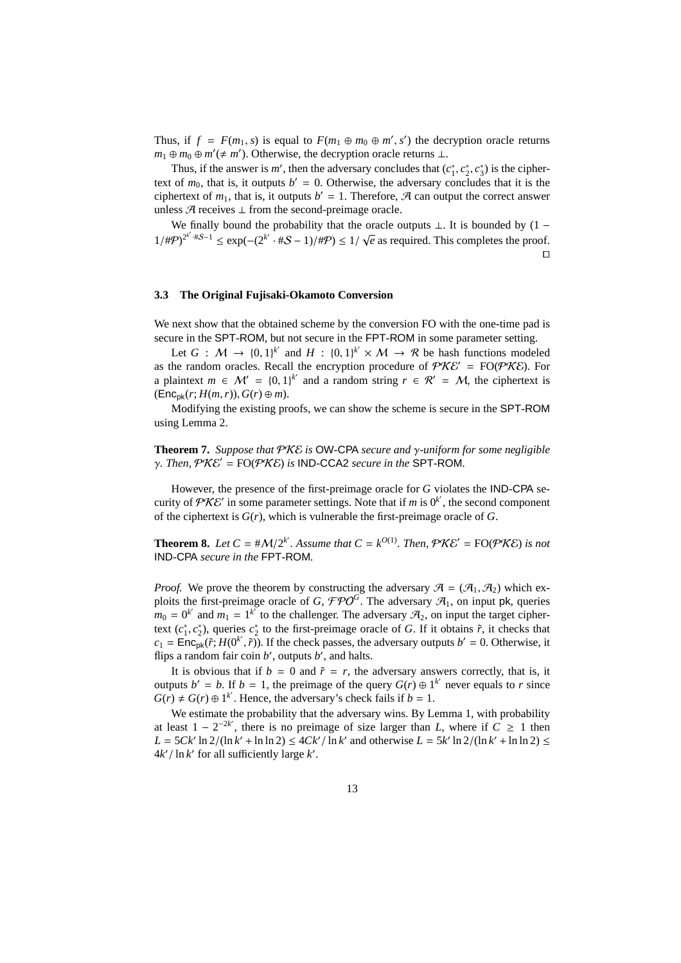Thus, if  $f = F(m_1, s)$  is equal to  $F(m_1 \oplus m_0 \oplus m', s')$  the decryption oracle returns  $m_1 \oplus m_0 \oplus m' (\neq m')$ . Otherwise, the decryption oracle returns  $\perp$ .

Thus, if the answer is *m'*, then the adversary concludes that  $(c_1^*, c_2^*, c_3^*)$  is the ciphertext of  $m_0$ , that is, it outputs  $b' = 0$ . Otherwise, the adversary concludes that it is the ciphertext of  $m_1$ , that is, it outputs  $b' = 1$ . Therefore,  $\mathcal{A}$  can output the correct answer unless  $\mathcal A$  receives  $\bot$  from the second-preimage oracle.

We finally bound the probability that the oracle outputs  $\perp$ . It is bounded by (1 – 1/# $P$ )<sup>2k'</sup> <sup>#S−1</sup> ≤ exp(−(2<sup>k'</sup> · #S−1)/# $P$ ) ≤ 1/ $\sqrt{e}$  as required. This completes the proof. ⊓⊔

### **3.3 The Original Fujisaki-Okamoto Conversion**

We next show that the obtained scheme by the conversion FO with the one-time pad is secure in the SPT-ROM, but not secure in the FPT-ROM in some parameter setting.

Let  $G : \mathcal{M} \to \{0,1\}^k$  and  $H : \{0,1\}^k \times \mathcal{M} \to \mathcal{R}$  be hash functions modeled as the random oracles. Recall the encryption procedure of  $PKE' = FO(PKE)$ . For a plaintext  $m \in \mathcal{M}' = \{0, 1\}^{k'}$  and a random string  $r \in \mathcal{R}' = \mathcal{M}$ , the ciphertext is  $(Enc_{\text{pk}}(r; H(m, r)), G(r) \oplus m).$ 

Modifying the existing proofs, we can show the scheme is secure in the SPT-ROM using Lemma 2.

**Theorem 7.** *Suppose that* PKE *is* OW-CPA *secure and* γ*-uniform for some negligible* γ*. Then,* PKE′ = FO(PKE) *is* IND-CCA2 *secure in the* SPT-ROM*.*

However, the presence of the first-preimage oracle for *G* violates the IND-CPA security of  $PKE'$  in some parameter settings. Note that if *m* is  $0^{k'}$ , the second component of the ciphertext is *G*(*r*), which is vulnerable the first-preimage oracle of *G*.

**Theorem 8.** Let  $C = #M/2^k$ . Assume that  $C = k^{O(1)}$ . Then,  $PKE' = FO(PKE)$  is not IND-CPA *secure in the* FPT-ROM*.*

*Proof.* We prove the theorem by constructing the adversary  $\mathcal{A} = (\mathcal{A}_1, \mathcal{A}_2)$  which exploits the first-preimage oracle of *G*,  $\mathcal{FPO}^{G}$ . The adversary  $\mathcal{A}_{1}$ , on input pk, queries  $m_0 = 0^{k'}$  and  $m_1 = 1^{k'}$  to the challenger. The adversary  $\mathcal{A}_2$ , on input the target ciphertext  $(c_1^*, c_2^*)$ , queries  $c_2^*$  to the first-preimage oracle of *G*. If it obtains  $\tilde{r}$ , it checks that  $c_1 = \text{Enc}_{\text{pk}}(\tilde{r}; H(0^{k'}, \tilde{r}))$ . If the check passes, the adversary outputs  $b' = 0$ . Otherwise, it flips a random fair coin  $b'$ , outputs  $b'$ , and halts.

It is obvious that if  $b = 0$  and  $\tilde{r} = r$ , the adversary answers correctly, that is, it outputs  $b' = b$ . If  $b = 1$ , the preimage of the query  $G(r) \oplus 1^{k'}$  never equals to *r* since  $G(r) \neq G(r) \oplus 1^{k'}$ . Hence, the adversary's check fails if  $b = 1$ .

We estimate the probability that the adversary wins. By Lemma 1, with probability at least  $1 - 2^{-2k'}$ , there is no preimage of size larger than *L*, where if  $C \ge 1$  then  $L = 5Ck' \ln 2/(\ln k' + \ln \ln 2) \le 4Ck'/\ln k'$  and otherwise  $L = 5k' \ln 2/(\ln k' + \ln \ln 2) \le$ 4*k* ′ / ln *k* ′ for all sufficiently large *k* ′ .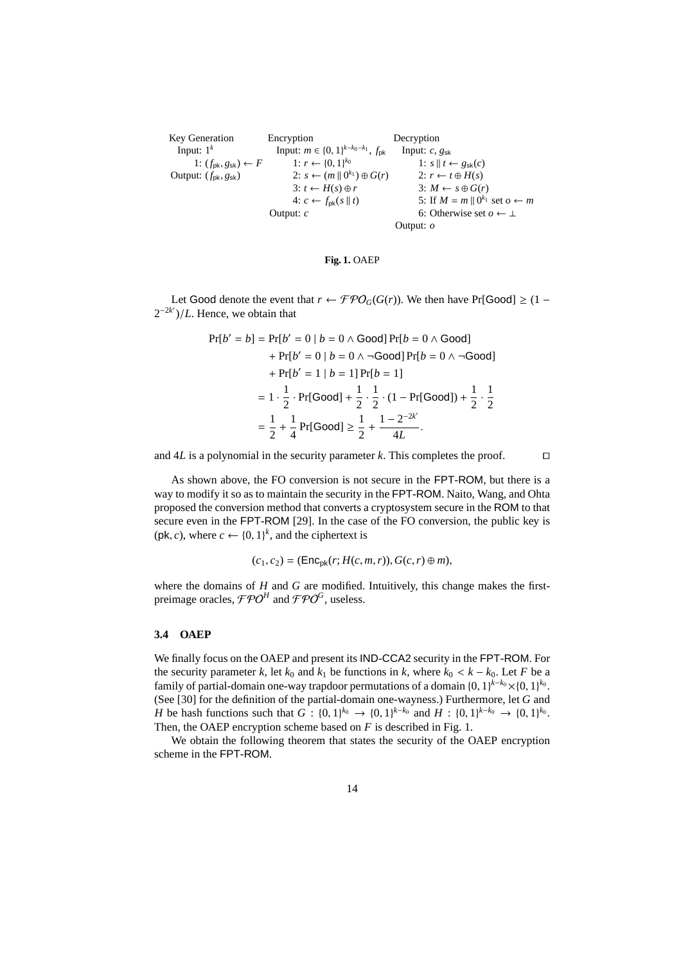| Key Generation                                   | Encryption                                            | Decryption                                           |
|--------------------------------------------------|-------------------------------------------------------|------------------------------------------------------|
| Input: $1^k$                                     | Input: $m \in \{0, 1\}^{k-k_0-k_1}$ , $f_{\text{ok}}$ | Input: $c, g_{sk}$                                   |
| 1: $(f_{\text{pk}}, g_{\text{sk}}) \leftarrow F$ | 1: $r \leftarrow \{0, 1\}^{k_0}$                      | 1: $s \parallel t \leftarrow g_{sk}(c)$              |
| Output: $(f_{\rm pk}, g_{\rm sk})$               | 2: $s \leftarrow (m \parallel 0^{k_1}) \oplus G(r)$   | $2: r \leftarrow t \oplus H(s)$                      |
|                                                  | $3: t \leftarrow H(s) \oplus r$                       | $3: M \leftarrow s \oplus G(r)$                      |
|                                                  | 4: $c \leftarrow f_{\text{pk}}(s \parallel t)$        | 5: If $M = m    0^{k_1} \text{ set } o \leftarrow m$ |
| Output: $c$                                      |                                                       | 6: Otherwise set $o \leftarrow \perp$                |
|                                                  |                                                       | Output: $\sigma$                                     |



Let Good denote the event that  $r \leftarrow \mathcal{FPO}_G(G(r))$ . We then have Pr[Good]  $\geq (1 2^{-2k'}/L$ . Hence, we obtain that

$$
\Pr[b' = b] = \Pr[b' = 0 | b = 0 \land \text{Good}] \Pr[b = 0 \land \text{Good}] \n+ \Pr[b' = 0 | b = 0 \land \neg \text{Good}] \Pr[b = 0 \land \neg \text{Good}] \n+ \Pr[b' = 1 | b = 1] \Pr[b = 1] \n= 1 \cdot \frac{1}{2} \cdot \Pr[\text{Good}] + \frac{1}{2} \cdot \frac{1}{2} \cdot (1 - \Pr[\text{Good}]) + \frac{1}{2} \cdot \frac{1}{2} \n= \frac{1}{2} + \frac{1}{4} \Pr[\text{Good}] \ge \frac{1}{2} + \frac{1 - 2^{-2k'}}{4L}.
$$

and 4*L* is a polynomial in the security parameter *k*. This completes the proof. ⊓⊔

As shown above, the FO conversion is not secure in the FPT-ROM, but there is a way to modify it so as to maintain the security in the FPT-ROM. Naito, Wang, and Ohta proposed the conversion method that converts a cryptosystem secure in the ROM to that secure even in the FPT-ROM [29]. In the case of the FO conversion, the public key is  $(pk, c)$ , where  $c \leftarrow \{0, 1\}^k$ , and the ciphertext is

$$
(c_1, c_2) = (\text{Enc}_{\text{pk}}(r; H(c, m, r)), G(c, r) \oplus m),
$$

where the domains of *H* and *G* are modified. Intuitively, this change makes the firstpreimage oracles,  $\mathcal{FPO}^{H}$  and  $\mathcal{FPO}^{G}$ , useless.

### **3.4 OAEP**

We finally focus on the OAEP and present its IND-CCA2 security in the FPT-ROM. For the security parameter *k*, let  $k_0$  and  $k_1$  be functions in *k*, where  $k_0 < k - k_0$ . Let *F* be a family of partial-domain one-way trapdoor permutations of a domain  $\{0,1\}^{k-k_0}\times\{0,1\}^{k_0}$ . (See [30] for the definition of the partial-domain one-wayness.) Furthermore, let *G* and *H* be hash functions such that  $G : \{0, 1\}^{k_0} \to \{0, 1\}^{k-k_0}$  and  $H : \{0, 1\}^{k-k_0} \to \{0, 1\}^{k_0}$ . Then, the OAEP encryption scheme based on *F* is described in Fig. 1.

We obtain the following theorem that states the security of the OAEP encryption scheme in the FPT-ROM.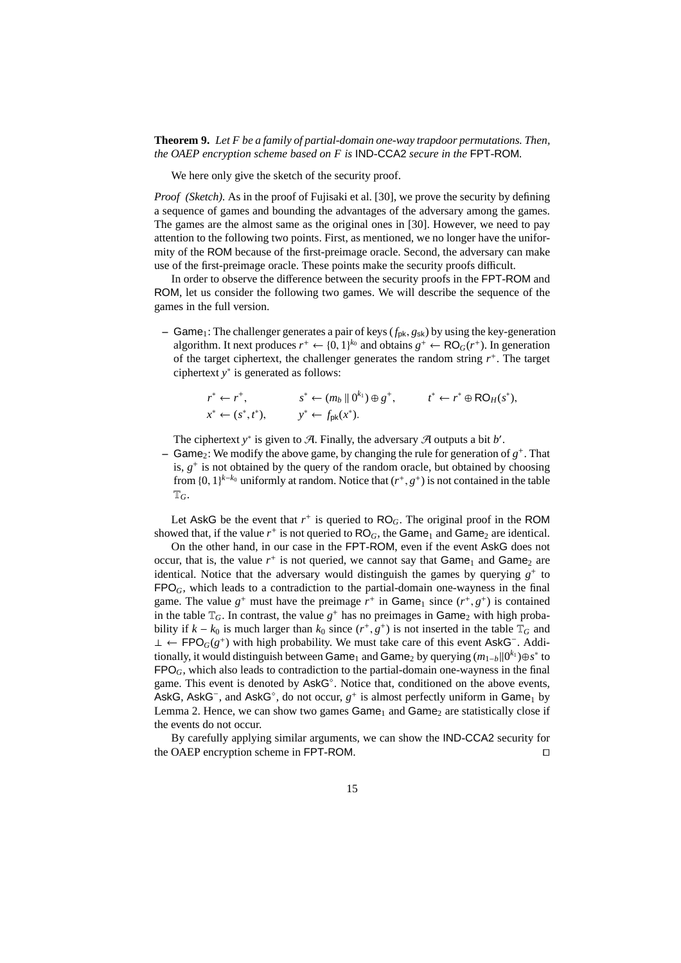**Theorem 9.** *Let F be a family of partial-domain one-way trapdoor permutations. Then, the OAEP encryption scheme based on F is* IND-CCA2 *secure in the* FPT-ROM*.*

We here only give the sketch of the security proof.

*Proof (Sketch).* As in the proof of Fujisaki et al. [30], we prove the security by defining a sequence of games and bounding the advantages of the adversary among the games. The games are the almost same as the original ones in [30]. However, we need to pay attention to the following two points. First, as mentioned, we no longer have the uniformity of the ROM because of the first-preimage oracle. Second, the adversary can make use of the first-preimage oracle. These points make the security proofs difficult.

In order to observe the difference between the security proofs in the FPT-ROM and ROM, let us consider the following two games. We will describe the sequence of the games in the full version.

Game<sub>1</sub>: The challenger generates a pair of keys ( $f_{\text{pk}}$ ,  $g_{\text{sk}}$ ) by using the key-generation algorithm. It next produces  $r^+ \leftarrow \{0, 1\}^{k_0}$  and obtains  $g^+ \leftarrow \text{RO}_G(r^+)$ . In generation of the target ciphertext, the challenger generates the random string  $r^+$ . The target ciphertext *y* ∗ is generated as follows:

$$
r^* \leftarrow r^+, \qquad s^* \leftarrow (m_b \parallel 0^{k_1}) \oplus g^+, \qquad t^* \leftarrow r^* \oplus \text{RO}_H(s^*),
$$
  

$$
x^* \leftarrow (s^*, t^*), \qquad y^* \leftarrow f_{\text{pk}}(x^*).
$$

The ciphertext  $y^*$  is given to A. Finally, the adversary A outputs a bit  $b'$ .

 $-$  Game<sub>2</sub>: We modify the above game, by changing the rule for generation of  $g^+$ . That is,  $g^+$  is not obtained by the query of the random oracle, but obtained by choosing from  $\{0, 1\}^{k-k_0}$  uniformly at random. Notice that  $(r^+, g^+)$  is not contained in the table  $T_G$ .

Let AskG be the event that  $r^+$  is queried to  $RO<sub>G</sub>$ . The original proof in the ROM showed that, if the value  $r^+$  is not queried to  $RO_G$ , the Game<sub>1</sub> and Game<sub>2</sub> are identical.

On the other hand, in our case in the FPT-ROM, even if the event AskG does not occur, that is, the value  $r^+$  is not queried, we cannot say that  $Game_1$  and  $Game_2$  are identical. Notice that the adversary would distinguish the games by querying  $g^+$  to FPO*G*, which leads to a contradiction to the partial-domain one-wayness in the final game. The value  $g^+$  must have the preimage  $r^+$  in Game<sub>1</sub> since  $(r^+, g^+)$  is contained in the table  $T_G$ . In contrast, the value  $g^+$  has no preimages in Game<sub>2</sub> with high probability if  $k - k_0$  is much larger than  $k_0$  since  $(r^+, g^+)$  is not inserted in the table  $\mathbb{T}_G$  and ⊥ ← FPO<sub>G</sub>(g<sup>+</sup>) with high probability. We must take care of this event AskG<sup>-</sup>. Additionally, it would distinguish between Game<sub>1</sub> and Game<sub>2</sub> by querying  $(m_{1-b} || 0^{k_1}) \oplus s^*$  to  $FPO<sub>G</sub>$ , which also leads to contradiction to the partial-domain one-wayness in the final game. This event is denoted by AskG<sup>°</sup>. Notice that, conditioned on the above events, AskG, AskG<sup>-</sup>, and AskG<sup>°</sup>, do not occur,  $g^+$  is almost perfectly uniform in Game<sub>1</sub> by Lemma 2. Hence, we can show two games  $Game_1$  and  $Game_2$  are statistically close if the events do not occur.

By carefully applying similar arguments, we can show the IND-CCA2 security for the OAEP encryption scheme in FPT-ROM. □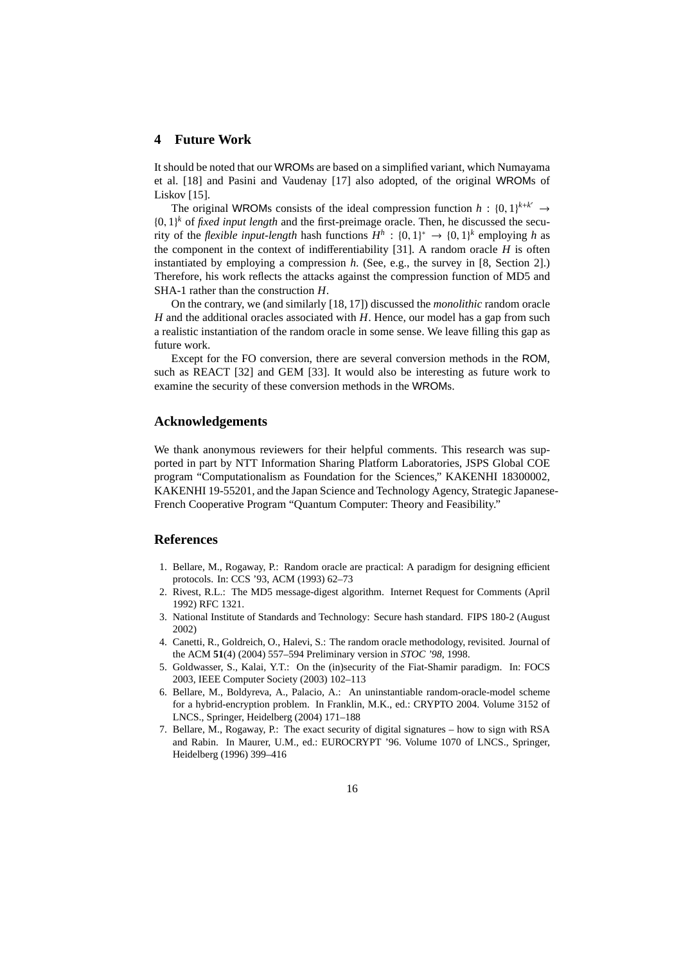# **4 Future Work**

It should be noted that our WROMs are based on a simplified variant, which Numayama et al. [18] and Pasini and Vaudenay [17] also adopted, of the original WROMs of Liskov<sup>[15]</sup>.

The original WROMs consists of the ideal compression function  $h: \{0, 1\}^{k+k'} \rightarrow$  $\{0, 1\}^k$  of *fixed input length* and the first-preimage oracle. Then, he discussed the security of the *flexible input-length* hash functions  $H^h$ :  $\{0,1\}^* \rightarrow \{0,1\}^k$  employing *h* as the component in the context of indifferentiability [31]. A random oracle *H* is often instantiated by employing a compression *h*. (See, e.g., the survey in [8, Section 2].) Therefore, his work reflects the attacks against the compression function of MD5 and SHA-1 rather than the construction *H*.

On the contrary, we (and similarly [18, 17]) discussed the *monolithic* random oracle *H* and the additional oracles associated with *H*. Hence, our model has a gap from such a realistic instantiation of the random oracle in some sense. We leave filling this gap as future work.

Except for the FO conversion, there are several conversion methods in the ROM, such as REACT [32] and GEM [33]. It would also be interesting as future work to examine the security of these conversion methods in the WROMs.

### **Acknowledgements**

We thank anonymous reviewers for their helpful comments. This research was supported in part by NTT Information Sharing Platform Laboratories, JSPS Global COE program "Computationalism as Foundation for the Sciences," KAKENHI 18300002, KAKENHI 19-55201, and the Japan Science and Technology Agency, Strategic Japanese-French Cooperative Program "Quantum Computer: Theory and Feasibility."

## **References**

- 1. Bellare, M., Rogaway, P.: Random oracle are practical: A paradigm for designing efficient protocols. In: CCS '93, ACM (1993) 62–73
- 2. Rivest, R.L.: The MD5 message-digest algorithm. Internet Request for Comments (April 1992) RFC 1321.
- 3. National Institute of Standards and Technology: Secure hash standard. FIPS 180-2 (August 2002)
- 4. Canetti, R., Goldreich, O., Halevi, S.: The random oracle methodology, revisited. Journal of the ACM **51**(4) (2004) 557–594 Preliminary version in *STOC '98*, 1998.
- 5. Goldwasser, S., Kalai, Y.T.: On the (in)security of the Fiat-Shamir paradigm. In: FOCS 2003, IEEE Computer Society (2003) 102–113
- 6. Bellare, M., Boldyreva, A., Palacio, A.: An uninstantiable random-oracle-model scheme for a hybrid-encryption problem. In Franklin, M.K., ed.: CRYPTO 2004. Volume 3152 of LNCS., Springer, Heidelberg (2004) 171–188
- 7. Bellare, M., Rogaway, P.: The exact security of digital signatures how to sign with RSA and Rabin. In Maurer, U.M., ed.: EUROCRYPT '96. Volume 1070 of LNCS., Springer, Heidelberg (1996) 399–416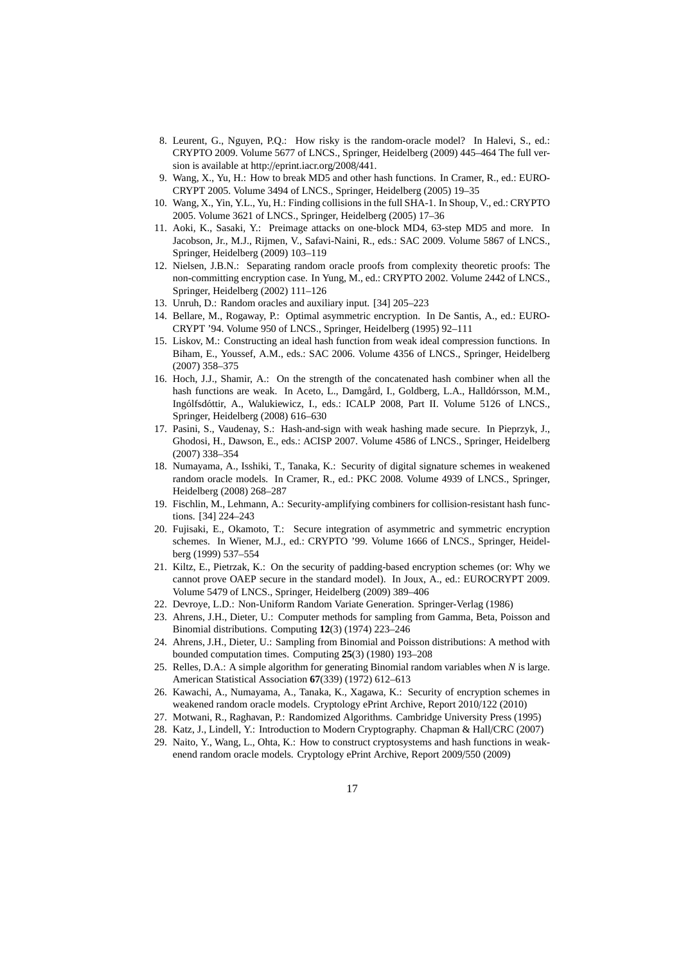- 8. Leurent, G., Nguyen, P.Q.: How risky is the random-oracle model? In Halevi, S., ed.: CRYPTO 2009. Volume 5677 of LNCS., Springer, Heidelberg (2009) 445–464 The full version is available at http://eprint.iacr.org/2008/441.
- 9. Wang, X., Yu, H.: How to break MD5 and other hash functions. In Cramer, R., ed.: EURO-CRYPT 2005. Volume 3494 of LNCS., Springer, Heidelberg (2005) 19–35
- 10. Wang, X., Yin, Y.L., Yu, H.: Finding collisions in the full SHA-1. In Shoup, V., ed.: CRYPTO 2005. Volume 3621 of LNCS., Springer, Heidelberg (2005) 17–36
- 11. Aoki, K., Sasaki, Y.: Preimage attacks on one-block MD4, 63-step MD5 and more. In Jacobson, Jr., M.J., Rijmen, V., Safavi-Naini, R., eds.: SAC 2009. Volume 5867 of LNCS., Springer, Heidelberg (2009) 103–119
- 12. Nielsen, J.B.N.: Separating random oracle proofs from complexity theoretic proofs: The non-committing encryption case. In Yung, M., ed.: CRYPTO 2002. Volume 2442 of LNCS., Springer, Heidelberg (2002) 111–126
- 13. Unruh, D.: Random oracles and auxiliary input. [34] 205–223
- 14. Bellare, M., Rogaway, P.: Optimal asymmetric encryption. In De Santis, A., ed.: EURO-CRYPT '94. Volume 950 of LNCS., Springer, Heidelberg (1995) 92–111
- 15. Liskov, M.: Constructing an ideal hash function from weak ideal compression functions. In Biham, E., Youssef, A.M., eds.: SAC 2006. Volume 4356 of LNCS., Springer, Heidelberg (2007) 358–375
- 16. Hoch, J.J., Shamir, A.: On the strength of the concatenated hash combiner when all the hash functions are weak. In Aceto, L., Damgård, I., Goldberg, L.A., Halldórsson, M.M., Ingólfsdóttir, A., Walukiewicz, I., eds.: ICALP 2008, Part II. Volume 5126 of LNCS., Springer, Heidelberg (2008) 616–630
- 17. Pasini, S., Vaudenay, S.: Hash-and-sign with weak hashing made secure. In Pieprzyk, J., Ghodosi, H., Dawson, E., eds.: ACISP 2007. Volume 4586 of LNCS., Springer, Heidelberg (2007) 338–354
- 18. Numayama, A., Isshiki, T., Tanaka, K.: Security of digital signature schemes in weakened random oracle models. In Cramer, R., ed.: PKC 2008. Volume 4939 of LNCS., Springer, Heidelberg (2008) 268–287
- 19. Fischlin, M., Lehmann, A.: Security-amplifying combiners for collision-resistant hash functions. [34] 224–243
- 20. Fujisaki, E., Okamoto, T.: Secure integration of asymmetric and symmetric encryption schemes. In Wiener, M.J., ed.: CRYPTO '99. Volume 1666 of LNCS., Springer, Heidelberg (1999) 537–554
- 21. Kiltz, E., Pietrzak, K.: On the security of padding-based encryption schemes (or: Why we cannot prove OAEP secure in the standard model). In Joux, A., ed.: EUROCRYPT 2009. Volume 5479 of LNCS., Springer, Heidelberg (2009) 389–406
- 22. Devroye, L.D.: Non-Uniform Random Variate Generation. Springer-Verlag (1986)
- 23. Ahrens, J.H., Dieter, U.: Computer methods for sampling from Gamma, Beta, Poisson and Binomial distributions. Computing **12**(3) (1974) 223–246
- 24. Ahrens, J.H., Dieter, U.: Sampling from Binomial and Poisson distributions: A method with bounded computation times. Computing **25**(3) (1980) 193–208
- 25. Relles, D.A.: A simple algorithm for generating Binomial random variables when *N* is large. American Statistical Association **67**(339) (1972) 612–613
- 26. Kawachi, A., Numayama, A., Tanaka, K., Xagawa, K.: Security of encryption schemes in weakened random oracle models. Cryptology ePrint Archive, Report 2010/122 (2010)
- 27. Motwani, R., Raghavan, P.: Randomized Algorithms. Cambridge University Press (1995)
- 28. Katz, J., Lindell, Y.: Introduction to Modern Cryptography. Chapman & Hall/CRC (2007)
- 29. Naito, Y., Wang, L., Ohta, K.: How to construct cryptosystems and hash functions in weakenend random oracle models. Cryptology ePrint Archive, Report 2009/550 (2009)